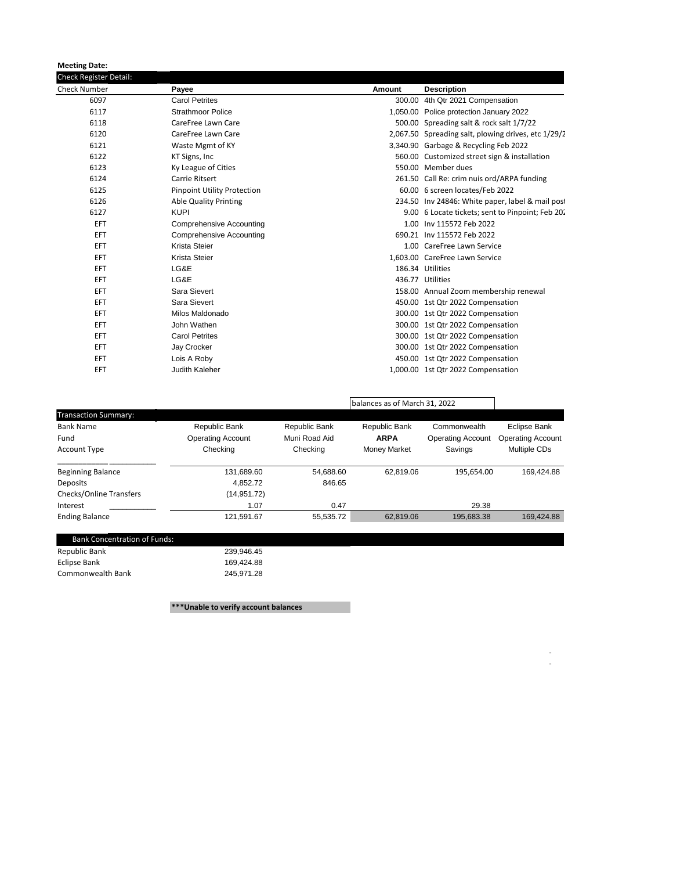**Meeting Date:**

| <b>Check Register Detail:</b> |                                    |        |                                                     |  |  |
|-------------------------------|------------------------------------|--------|-----------------------------------------------------|--|--|
| <b>Check Number</b>           | Payee                              | Amount | <b>Description</b>                                  |  |  |
| 6097                          | <b>Carol Petrites</b>              |        | 300.00 4th Qtr 2021 Compensation                    |  |  |
| 6117                          | <b>Strathmoor Police</b>           |        | 1,050.00 Police protection January 2022             |  |  |
| 6118                          | CareFree Lawn Care                 |        | 500.00 Spreading salt & rock salt 1/7/22            |  |  |
| 6120                          | CareFree Lawn Care                 |        | 2,067.50 Spreading salt, plowing drives, etc 1/29/2 |  |  |
| 6121                          | Waste Mgmt of KY                   |        | 3.340.90 Garbage & Recycling Feb 2022               |  |  |
| 6122                          | KT Signs, Inc.                     |        | 560.00 Customized street sign & installation        |  |  |
| 6123                          | Ky League of Cities                |        | 550.00 Member dues                                  |  |  |
| 6124                          | <b>Carrie Ritsert</b>              |        | 261.50 Call Re: crim nuis ord/ARPA funding          |  |  |
| 6125                          | <b>Pinpoint Utility Protection</b> |        | 60.00 6 screen locates/Feb 2022                     |  |  |
| 6126                          | <b>Able Quality Printing</b>       |        | 234.50 Inv 24846: White paper, label & mail post    |  |  |
| 6127                          | <b>KUPI</b>                        |        | 9.00 6 Locate tickets; sent to Pinpoint; Feb 202    |  |  |
| EFT.                          | Comprehensive Accounting           |        | 1.00 Inv 115572 Feb 2022                            |  |  |
| EFT                           | <b>Comprehensive Accounting</b>    |        | 690.21 Inv 115572 Feb 2022                          |  |  |
| EFT                           | Krista Steier                      |        | 1.00 CareFree Lawn Service                          |  |  |
| EFT                           | Krista Steier                      |        | 1,603.00 CareFree Lawn Service                      |  |  |
| EFT                           | LG&E                               |        | 186.34 Utilities                                    |  |  |
| EFT                           | LG&E                               |        | 436.77 Utilities                                    |  |  |
| EFT                           | Sara Sievert                       |        | 158.00 Annual Zoom membership renewal               |  |  |
| EFT                           | Sara Sievert                       |        | 450.00 1st Qtr 2022 Compensation                    |  |  |
| EFT                           | Milos Maldonado                    |        | 300.00 1st Qtr 2022 Compensation                    |  |  |
| EFT                           | John Wathen                        |        | 300.00 1st Qtr 2022 Compensation                    |  |  |
| EFT                           | <b>Carol Petrites</b>              |        | 300.00 1st Qtr 2022 Compensation                    |  |  |
| EFT                           | Jay Crocker                        |        | 300.00 1st Qtr 2022 Compensation                    |  |  |
| EFT                           | Lois A Roby                        |        | 450.00 1st Qtr 2022 Compensation                    |  |  |
| EFT                           | Judith Kaleher                     |        | 1,000.00 1st Qtr 2022 Compensation                  |  |  |
|                               |                                    |        |                                                     |  |  |

|                                |                          |               | balances as of March 31, 2022 |                          |                          |
|--------------------------------|--------------------------|---------------|-------------------------------|--------------------------|--------------------------|
| <b>Transaction Summary:</b>    |                          |               |                               |                          |                          |
| <b>Bank Name</b>               | Republic Bank            | Republic Bank | Republic Bank                 | Commonwealth             | Eclipse Bank             |
| Fund                           | <b>Operating Account</b> | Muni Road Aid | <b>ARPA</b>                   | <b>Operating Account</b> | <b>Operating Account</b> |
| <b>Account Type</b>            | Checking                 | Checking      | <b>Money Market</b>           | Savings                  | Multiple CDs             |
| <b>Beginning Balance</b>       | 131,689.60               | 54.688.60     | 62.819.06                     | 195.654.00               | 169.424.88               |
| Deposits                       | 4.852.72                 | 846.65        |                               |                          |                          |
| <b>Checks/Online Transfers</b> | (14, 951.72)             |               |                               |                          |                          |
| Interest                       | 1.07                     | 0.47          |                               | 29.38                    |                          |
| <b>Ending Balance</b>          | 121,591.67               | 55,535.72     | 62,819.06                     | 195,683.38               | 169.424.88               |

- 1990 - 1990 - 1991 - 100 minutes

| <b>Bank Concentration of Funds:</b> |            |
|-------------------------------------|------------|
| Republic Bank                       | 239.946.45 |
| <b>Eclipse Bank</b>                 | 169.424.88 |
| Commonwealth Bank                   | 245.971.28 |

**\*\*\*Unable to verify account balances**